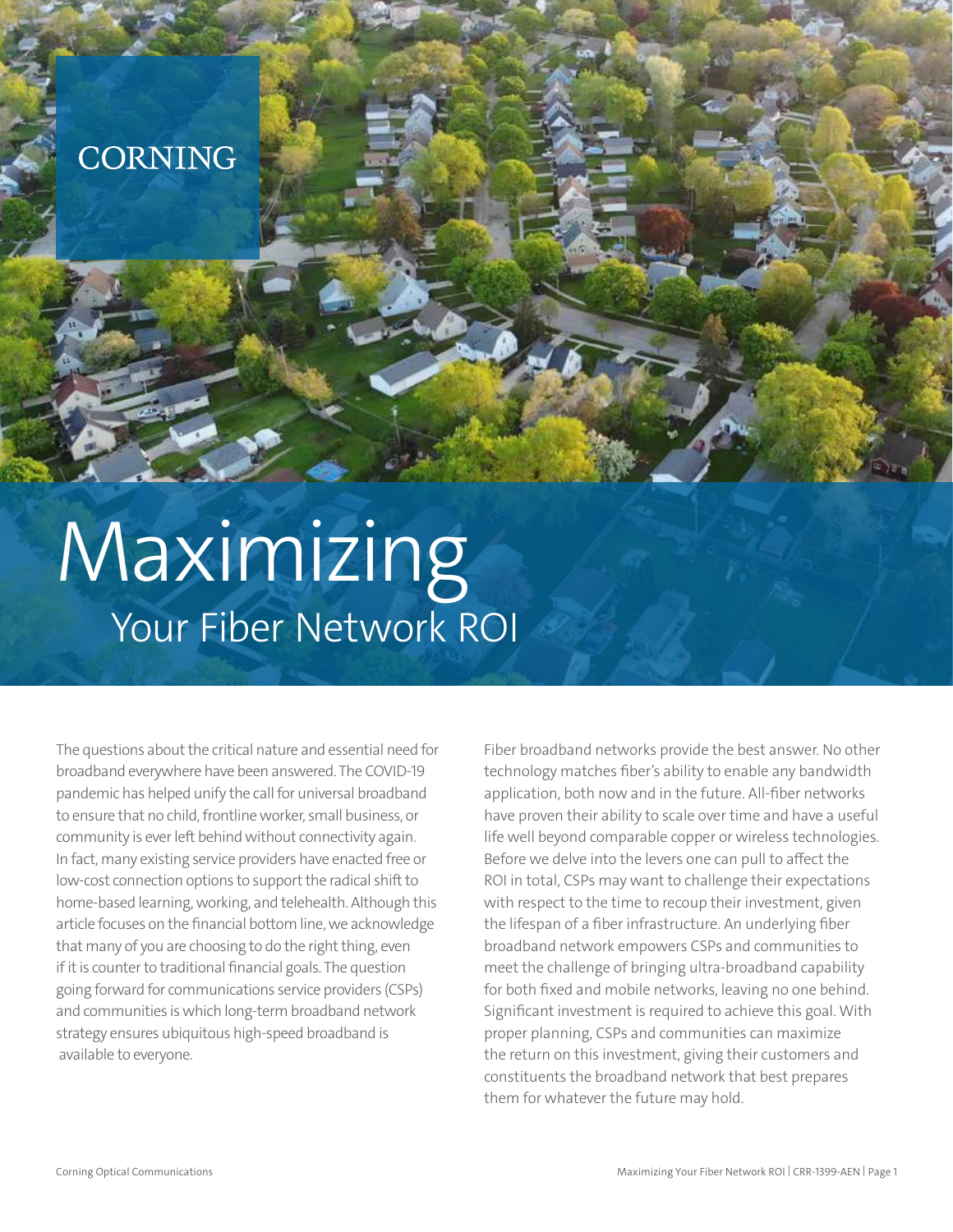## CORNING

# Maximizing Your Fiber Network ROI

The questions about the critical nature and essential need for broadband everywhere have been answered. The COVID-19 pandemic has helped unify the call for universal broadband to ensure that no child, frontline worker, small business, or community is ever left behind without connectivity again. In fact, many existing service providers have enacted free or low-cost connection options to support the radical shift to home-based learning, working, and telehealth. Although this article focuses on the financial bottom line, we acknowledge that many of you are choosing to do the right thing, even if it is counter to traditional financial goals. The question going forward for communications service providers (CSPs) and communities is which long-term broadband network strategy ensures ubiquitous high-speed broadband is available to everyone.

Fiber broadband networks provide the best answer. No other technology matches fiber's ability to enable any bandwidth application, both now and in the future. All-fiber networks have proven their ability to scale over time and have a useful life well beyond comparable copper or wireless technologies. Before we delve into the levers one can pull to affect the ROI in total, CSPs may want to challenge their expectations with respect to the time to recoup their investment, given the lifespan of a fiber infrastructure. An underlying fiber broadband network empowers CSPs and communities to meet the challenge of bringing ultra-broadband capability for both fixed and mobile networks, leaving no one behind. Significant investment is required to achieve this goal. With proper planning, CSPs and communities can maximize the return on this investment, giving their customers and constituents the broadband network that best prepares them for whatever the future may hold.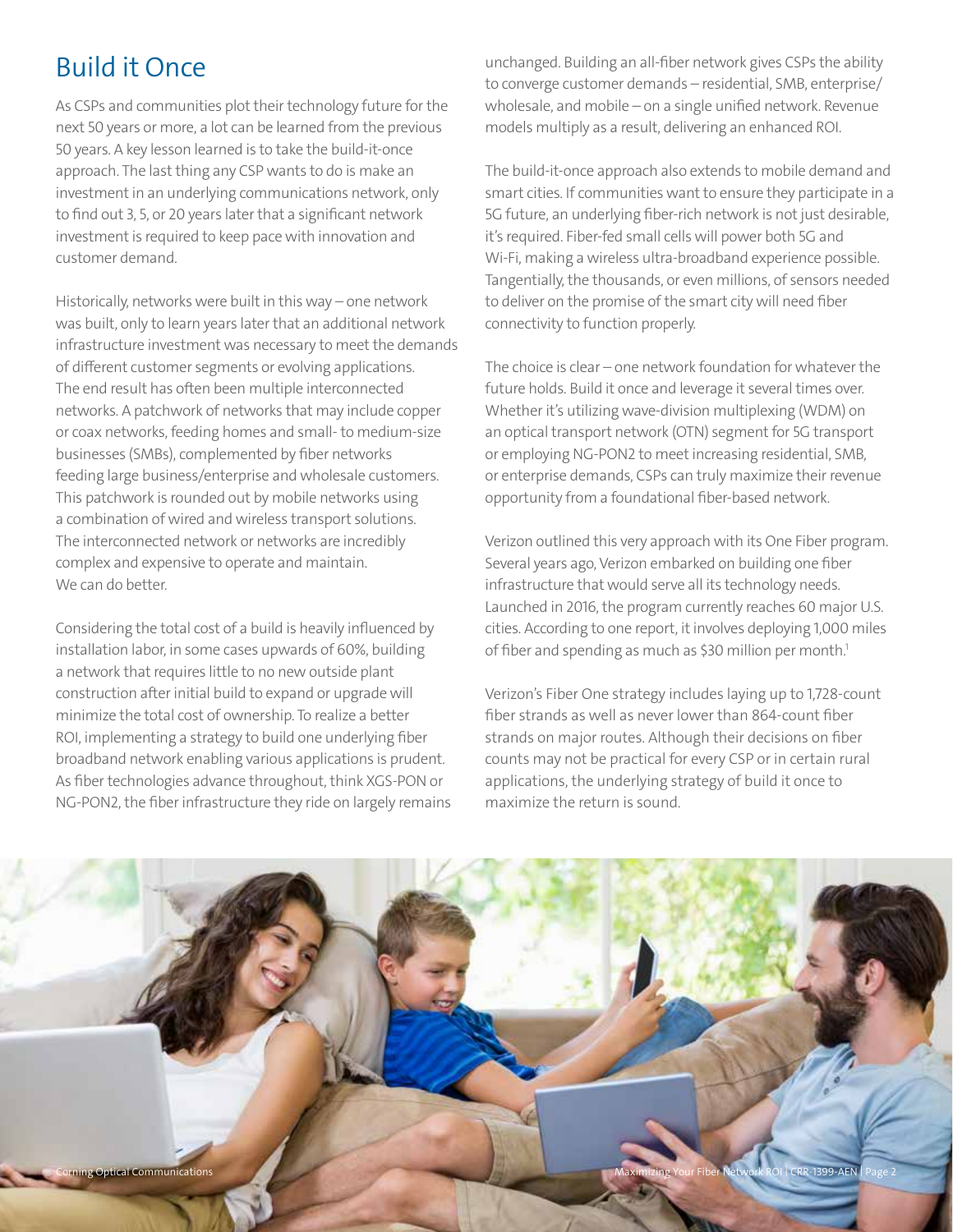### Build it Once

As CSPs and communities plot their technology future for the next 50 years or more, a lot can be learned from the previous 50 years. A key lesson learned is to take the build-it-once approach. The last thing any CSP wants to do is make an investment in an underlying communications network, only to find out 3, 5, or 20 years later that a significant network investment is required to keep pace with innovation and customer demand.

Historically, networks were built in this way – one network was built, only to learn years later that an additional network infrastructure investment was necessary to meet the demands of different customer segments or evolving applications. The end result has often been multiple interconnected networks. A patchwork of networks that may include copper or coax networks, feeding homes and small- to medium-size businesses (SMBs), complemented by fiber networks feeding large business/enterprise and wholesale customers. This patchwork is rounded out by mobile networks using a combination of wired and wireless transport solutions. The interconnected network or networks are incredibly complex and expensive to operate and maintain. We can do better.

Considering the total cost of a build is heavily influenced by installation labor, in some cases upwards of 60%, building a network that requires little to no new outside plant construction after initial build to expand or upgrade will minimize the total cost of ownership. To realize a better ROI, implementing a strategy to build one underlying fiber broadband network enabling various applications is prudent. As fiber technologies advance throughout, think XGS-PON or NG-PON2, the fiber infrastructure they ride on largely remains

unchanged. Building an all-fiber network gives CSPs the ability to converge customer demands – residential, SMB, enterprise/ wholesale, and mobile – on a single unified network. Revenue models multiply as a result, delivering an enhanced ROI.

The build-it-once approach also extends to mobile demand and smart cities. If communities want to ensure they participate in a 5G future, an underlying fiber-rich network is not just desirable, it's required. Fiber-fed small cells will power both 5G and Wi-Fi, making a wireless ultra-broadband experience possible. Tangentially, the thousands, or even millions, of sensors needed to deliver on the promise of the smart city will need fiber connectivity to function properly.

The choice is clear – one network foundation for whatever the future holds. Build it once and leverage it several times over. Whether it's utilizing wave-division multiplexing (WDM) on an optical transport network (OTN) segment for 5G transport or employing NG-PON2 to meet increasing residential, SMB, or enterprise demands, CSPs can truly maximize their revenue opportunity from a foundational fiber-based network.

Verizon outlined this very approach with its One Fiber program. Several years ago, Verizon embarked on building one fiber infrastructure that would serve all its technology needs. Launched in 2016, the program currently reaches 60 major U.S. cities. According to one report, it involves deploying 1,000 miles of fiber and spending as much as \$30 million per month.<sup>1</sup>

Verizon's Fiber One strategy includes laying up to 1,728-count fiber strands as well as never lower than 864-count fiber strands on major routes. Although their decisions on fiber counts may not be practical for every CSP or in certain rural applications, the underlying strategy of build it once to maximize the return is sound.

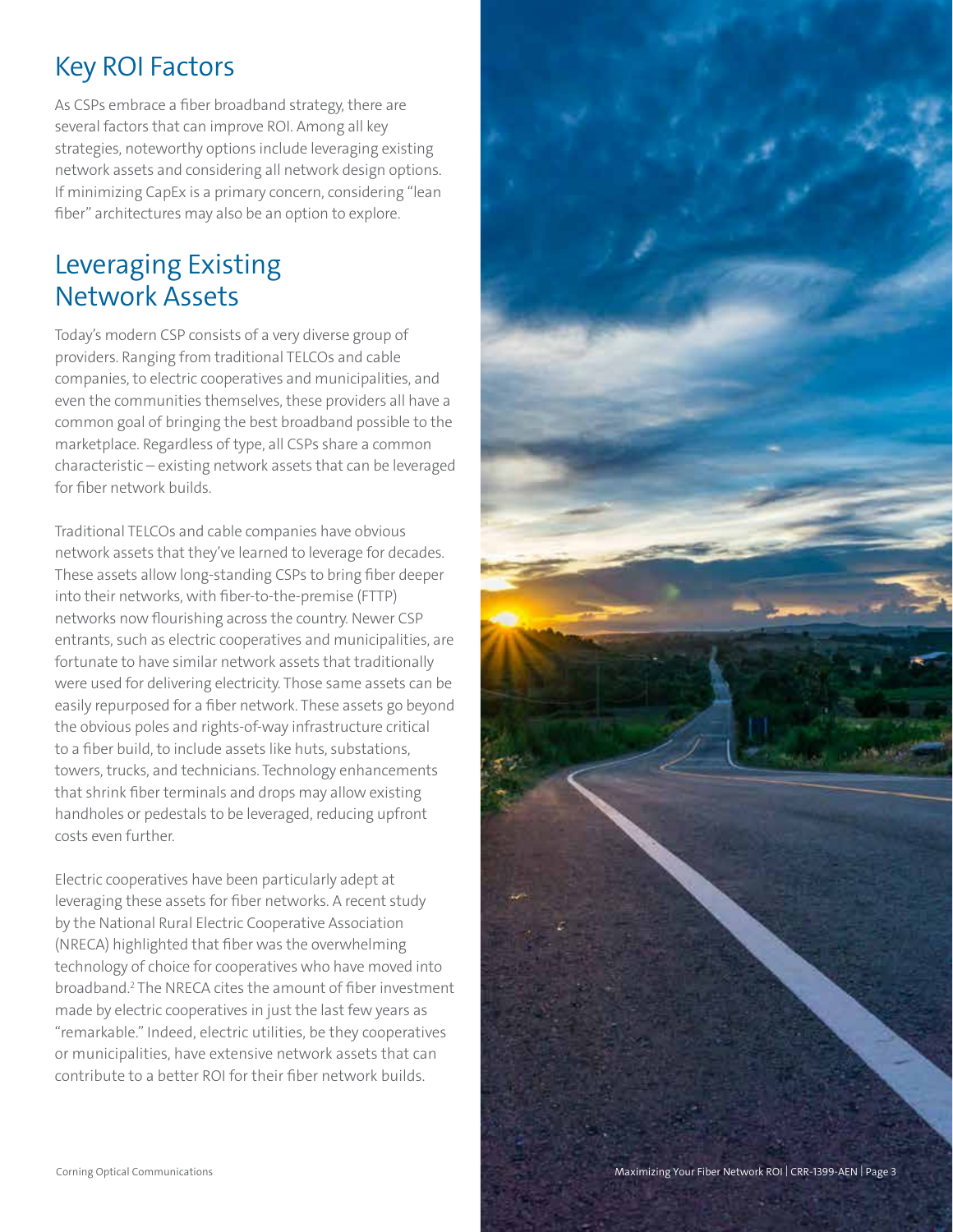## Key ROI Factors

As CSPs embrace a fiber broadband strategy, there are several factors that can improve ROI. Among all key strategies, noteworthy options include leveraging existing network assets and considering all network design options. If minimizing CapEx is a primary concern, considering "lean fiber" architectures may also be an option to explore.

#### Leveraging Existing Network Assets

Today's modern CSP consists of a very diverse group of providers. Ranging from traditional TELCOs and cable companies, to electric cooperatives and municipalities, and even the communities themselves, these providers all have a common goal of bringing the best broadband possible to the marketplace. Regardless of type, all CSPs share a common characteristic – existing network assets that can be leveraged for fiber network builds.

Traditional TELCOs and cable companies have obvious network assets that they've learned to leverage for decades. These assets allow long-standing CSPs to bring fiber deeper into their networks, with fiber-to-the-premise (FTTP) networks now flourishing across the country. Newer CSP entrants, such as electric cooperatives and municipalities, are fortunate to have similar network assets that traditionally were used for delivering electricity. Those same assets can be easily repurposed for a fiber network. These assets go beyond the obvious poles and rights-of-way infrastructure critical to a fiber build, to include assets like huts, substations, towers, trucks, and technicians. Technology enhancements that shrink fiber terminals and drops may allow existing handholes or pedestals to be leveraged, reducing upfront costs even further.

Electric cooperatives have been particularly adept at leveraging these assets for fiber networks. A recent study by the National Rural Electric Cooperative Association (NRECA) highlighted that fiber was the overwhelming technology of choice for cooperatives who have moved into broadband.2 The NRECA cites the amount of fiber investment made by electric cooperatives in just the last few years as "remarkable." Indeed, electric utilities, be they cooperatives or municipalities, have extensive network assets that can contribute to a better ROI for their fiber network builds.